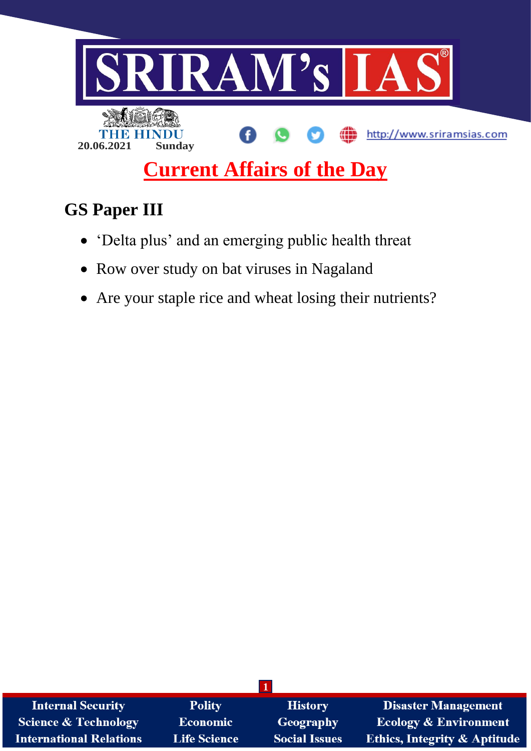

# **GS Paper III**

- 'Delta plus' and an emerging public health threat
- Row over study on bat viruses in Nagaland
- Are your staple rice and wheat losing their nutrients?

| <b>Internal Security</b>        | <b>Polity</b>       | <b>History</b>       | <b>Disaster Management</b>              |
|---------------------------------|---------------------|----------------------|-----------------------------------------|
| <b>Science &amp; Technology</b> | <b>Economic</b>     | Geography            | <b>Ecology &amp; Environment</b>        |
| <b>International Relations</b>  | <b>Life Science</b> | <b>Social Issues</b> | <b>Ethics, Integrity &amp; Aptitude</b> |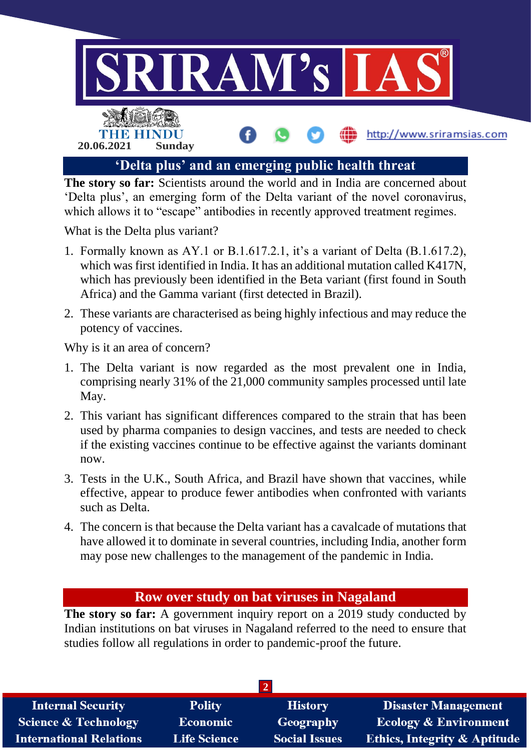

**The story so far:** Scientists around the world and in India are concerned about 'Delta plus', an emerging form of the Delta variant of the novel coronavirus, which allows it to "escape" antibodies in recently approved treatment regimes.

What is the Delta plus variant?

- 1. Formally known as AY.1 or B.1.617.2.1, it's a variant of Delta (B.1.617.2), which was first identified in India. It has an additional mutation called K417N, which has previously been identified in the Beta variant (first found in South Africa) and the Gamma variant (first detected in Brazil).
- 2. These variants are characterised as being highly infectious and may reduce the potency of vaccines.

Why is it an area of concern?

- 1. The Delta variant is now regarded as the most prevalent one in India, comprising nearly 31% of the 21,000 community samples processed until late May.
- 2. This variant has significant differences compared to the strain that has been used by pharma companies to design vaccines, and tests are needed to check if the existing vaccines continue to be effective against the variants dominant now.
- 3. Tests in the U.K., South Africa, and Brazil have shown that vaccines, while effective, appear to produce fewer antibodies when confronted with variants such as Delta.
- 4. The concern is that because the Delta variant has a cavalcade of mutations that have allowed it to dominate in several countries, including India, another form may pose new challenges to the management of the pandemic in India.

## **Row over study on bat viruses in Nagaland**

**The story so far:** A government inquiry report on a 2019 study conducted by Indian institutions on bat viruses in Nagaland referred to the need to ensure that studies follow all regulations in order to pandemic-proof the future.

| <b>Internal Security</b>        | <b>Polity</b>       | <b>History</b>       | <b>Disaster Management</b>              |
|---------------------------------|---------------------|----------------------|-----------------------------------------|
| <b>Science &amp; Technology</b> | <b>Economic</b>     | Geography            | <b>Ecology &amp; Environment</b>        |
| <b>International Relations</b>  | <b>Life Science</b> | <b>Social Issues</b> | <b>Ethics, Integrity &amp; Aptitude</b> |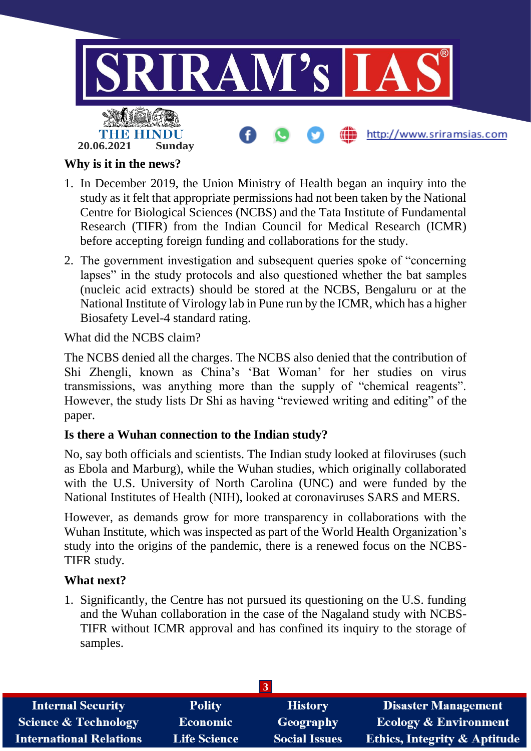

### **Why is it in the news?**

- 1. In December 2019, the Union Ministry of Health began an inquiry into the study as it felt that appropriate permissions had not been taken by the National Centre for Biological Sciences (NCBS) and the Tata Institute of Fundamental Research (TIFR) from the Indian Council for Medical Research (ICMR) before accepting foreign funding and collaborations for the study.
- 2. The government investigation and subsequent queries spoke of "concerning lapses" in the study protocols and also questioned whether the bat samples (nucleic acid extracts) should be stored at the NCBS, Bengaluru or at the National Institute of Virology lab in Pune run by the ICMR, which has a higher Biosafety Level-4 standard rating.

What did the NCBS claim?

The NCBS denied all the charges. The NCBS also denied that the contribution of Shi Zhengli, known as China's 'Bat Woman' for her studies on virus transmissions, was anything more than the supply of "chemical reagents". However, the study lists Dr Shi as having "reviewed writing and editing" of the paper.

## **Is there a Wuhan connection to the Indian study?**

No, say both officials and scientists. The Indian study looked at filoviruses (such as Ebola and Marburg), while the Wuhan studies, which originally collaborated with the U.S. University of North Carolina (UNC) and were funded by the National Institutes of Health (NIH), looked at coronaviruses SARS and MERS.

However, as demands grow for more transparency in collaborations with the Wuhan Institute, which was inspected as part of the World Health Organization's study into the origins of the pandemic, there is a renewed focus on the NCBS-TIFR study.

#### **What next?**

1. Significantly, the Centre has not pursued its questioning on the U.S. funding and the Wuhan collaboration in the case of the Nagaland study with NCBS-TIFR without ICMR approval and has confined its inquiry to the storage of samples.

| <b>Internal Security</b>        | <b>Polity</b>       | <b>History</b>       | Disaster Management                     |
|---------------------------------|---------------------|----------------------|-----------------------------------------|
| <b>Science &amp; Technology</b> | <b>Economic</b>     | Geography            | <b>Ecology &amp; Environment</b>        |
| <b>International Relations</b>  | <b>Life Science</b> | <b>Social Issues</b> | <b>Ethics, Integrity &amp; Aptitude</b> |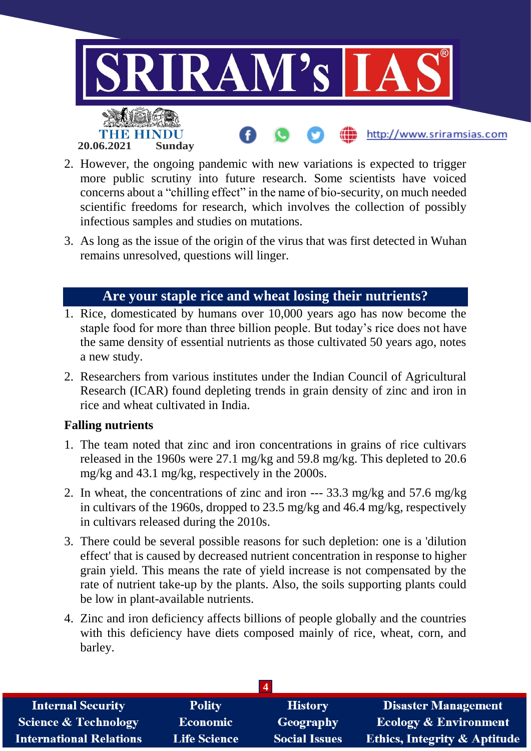

- 2. However, the ongoing pandemic with new variations is expected to trigger more public scrutiny into future research. Some scientists have voiced concerns about a "chilling effect" in the name of bio-security, on much needed scientific freedoms for research, which involves the collection of possibly infectious samples and studies on mutations.
- 3. As long as the issue of the origin of the virus that was first detected in Wuhan remains unresolved, questions will linger.

## **Are your staple rice and wheat losing their nutrients?**

- 1. Rice, domesticated by humans over 10,000 years ago has now become the staple food for more than three billion people. But today's rice does not have the same density of essential nutrients as those cultivated 50 years ago, notes a new study.
- 2. Researchers from various institutes under the Indian Council of Agricultural Research (ICAR) found depleting trends in grain density of zinc and iron in rice and wheat cultivated in India.

#### **Falling nutrients**

- 1. The team noted that zinc and iron concentrations in grains of rice cultivars released in the 1960s were 27.1 mg/kg and 59.8 mg/kg. This depleted to 20.6 mg/kg and 43.1 mg/kg, respectively in the 2000s.
- 2. In wheat, the concentrations of zinc and iron --- 33.3 mg/kg and 57.6 mg/kg in cultivars of the 1960s, dropped to 23.5 mg/kg and 46.4 mg/kg, respectively in cultivars released during the 2010s.
- 3. There could be several possible reasons for such depletion: one is a 'dilution effect' that is caused by decreased nutrient concentration in response to higher grain yield. This means the rate of yield increase is not compensated by the rate of nutrient take-up by the plants. Also, the soils supporting plants could be low in plant-available nutrients.
- 4. Zinc and iron deficiency affects billions of people globally and the countries with this deficiency have diets composed mainly of rice, wheat, corn, and barley.

| <b>Internal Security</b>        | <b>Polity</b>       | <b>History</b>       | <b>Disaster Management</b>              |
|---------------------------------|---------------------|----------------------|-----------------------------------------|
| <b>Science &amp; Technology</b> | <b>Economic</b>     | Geography            | <b>Ecology &amp; Environment</b>        |
| <b>International Relations</b>  | <b>Life Science</b> | <b>Social Issues</b> | <b>Ethics, Integrity &amp; Aptitude</b> |